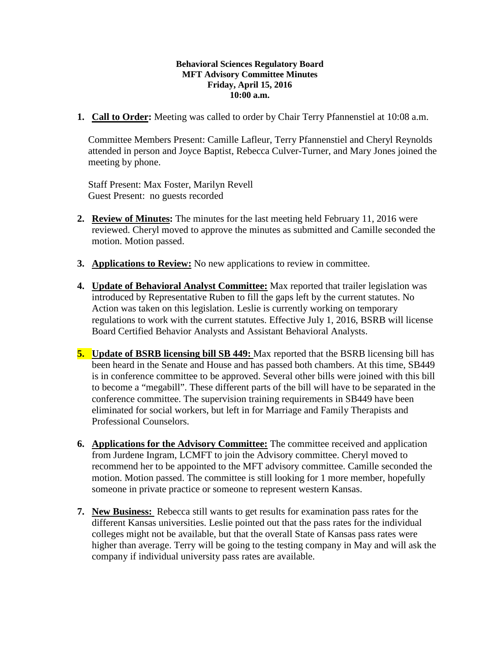## **Behavioral Sciences Regulatory Board MFT Advisory Committee Minutes Friday, April 15, 2016 10:00 a.m.**

**1. Call to Order:** Meeting was called to order by Chair Terry Pfannenstiel at 10:08 a.m.

Committee Members Present: Camille Lafleur, Terry Pfannenstiel and Cheryl Reynolds attended in person and Joyce Baptist, Rebecca Culver-Turner, and Mary Jones joined the meeting by phone.

Staff Present: Max Foster, Marilyn Revell Guest Present: no guests recorded

- **2. Review of Minutes:** The minutes for the last meeting held February 11, 2016 were reviewed. Cheryl moved to approve the minutes as submitted and Camille seconded the motion. Motion passed.
- **3. Applications to Review:** No new applications to review in committee.
- **4. Update of Behavioral Analyst Committee:** Max reported that trailer legislation was introduced by Representative Ruben to fill the gaps left by the current statutes. No Action was taken on this legislation. Leslie is currently working on temporary regulations to work with the current statutes. Effective July 1, 2016, BSRB will license Board Certified Behavior Analysts and Assistant Behavioral Analysts.
- **5. Update of BSRB licensing bill SB 449:** Max reported that the BSRB licensing bill has been heard in the Senate and House and has passed both chambers. At this time, SB449 is in conference committee to be approved. Several other bills were joined with this bill to become a "megabill". These different parts of the bill will have to be separated in the conference committee. The supervision training requirements in SB449 have been eliminated for social workers, but left in for Marriage and Family Therapists and Professional Counselors.
- **6. Applications for the Advisory Committee:** The committee received and application from Jurdene Ingram, LCMFT to join the Advisory committee. Cheryl moved to recommend her to be appointed to the MFT advisory committee. Camille seconded the motion. Motion passed. The committee is still looking for 1 more member, hopefully someone in private practice or someone to represent western Kansas.
- **7. New Business:** Rebecca still wants to get results for examination pass rates for the different Kansas universities. Leslie pointed out that the pass rates for the individual colleges might not be available, but that the overall State of Kansas pass rates were higher than average. Terry will be going to the testing company in May and will ask the company if individual university pass rates are available.